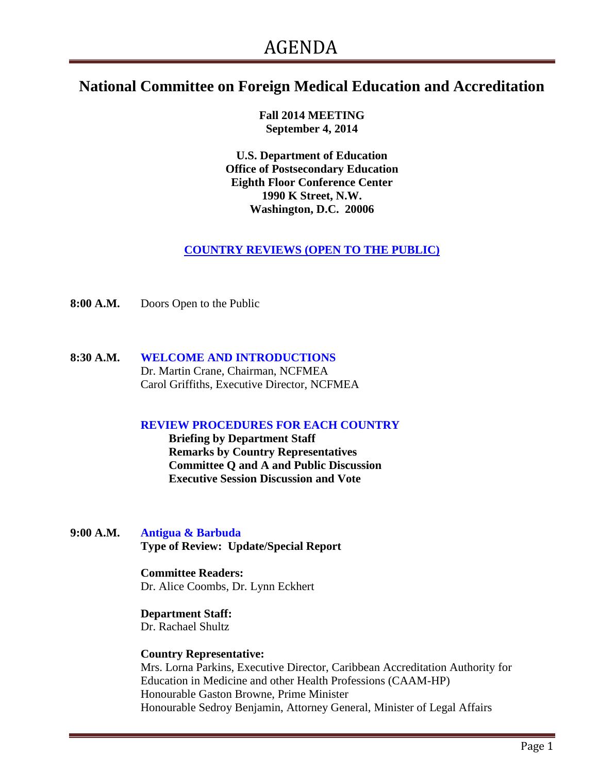# **National Committee on Foreign Medical Education and Accreditation**

**Fall 2014 MEETING September 4, 2014**

**U.S. Department of Education Office of Postsecondary Education Eighth Floor Conference Center 1990 K Street, N.W. Washington, D.C. 20006**

**COUNTRY REVIEWS (OPEN TO THE PUBLIC)**

**8:00 A.M.** Doors Open to the Public

**8:30 A.M. WELCOME AND INTRODUCTIONS** Dr. Martin Crane, Chairman, NCFMEA Carol Griffiths, Executive Director, NCFMEA

# **REVIEW PROCEDURES FOR EACH COUNTRY**

**Briefing by Department Staff Remarks by Country Representatives Committee Q and A and Public Discussion Executive Session Discussion and Vote**

**9:00 A.M. Antigua & Barbuda Type of Review: Update/Special Report**

#### **Committee Readers:**

Dr. Alice Coombs, Dr. Lynn Eckhert

#### **Department Staff:**

Dr. Rachael Shultz

#### **Country Representative:**

Mrs. Lorna Parkins, Executive Director, Caribbean Accreditation Authority for Education in Medicine and other Health Professions (CAAM-HP) Honourable Gaston Browne, Prime Minister Honourable Sedroy Benjamin, Attorney General, Minister of Legal Affairs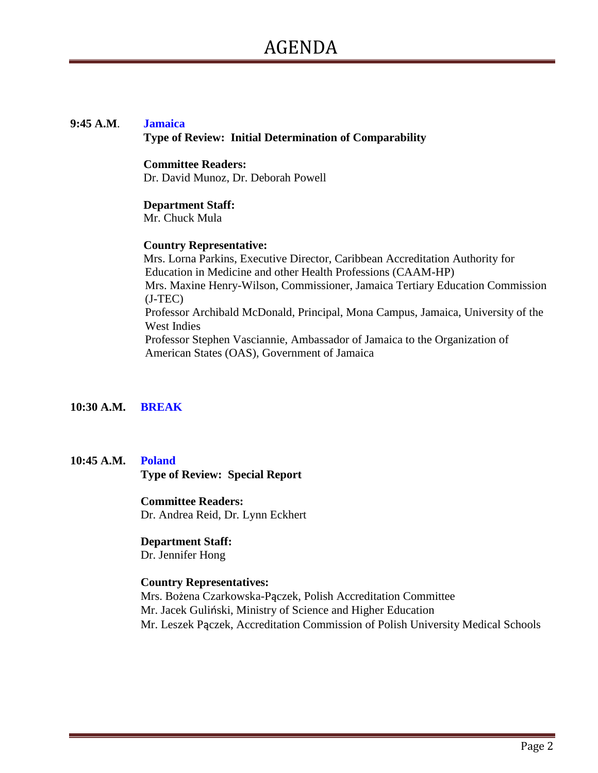#### **9:45 A.M**. **Jamaica Type of Review: Initial Determination of Comparability**

#### **Committee Readers:**

Dr. David Munoz, Dr. Deborah Powell

### **Department Staff:**

Mr. Chuck Mula

### **Country Representative:**

Mrs. Lorna Parkins, Executive Director, Caribbean Accreditation Authority for Education in Medicine and other Health Professions (CAAM-HP) Mrs. Maxine Henry-Wilson, Commissioner, Jamaica Tertiary Education Commission (J-TEC) Professor Archibald McDonald, Principal, Mona Campus, Jamaica, University of the West Indies Professor Stephen Vasciannie, Ambassador of Jamaica to the Organization of American States (OAS), Government of Jamaica

# **10:30 A.M. BREAK**

**10:45 A.M. Poland Type of Review: Special Report**

### **Committee Readers:**

Dr. Andrea Reid, Dr. Lynn Eckhert

# **Department Staff:**

Dr. Jennifer Hong

# **Country Representatives:**

Mrs. Bożena Czarkowska-Pączek, Polish Accreditation Committee Mr. Jacek Guliński, Ministry of Science and Higher Education Mr. Leszek Pączek, Accreditation Commission of Polish University Medical Schools